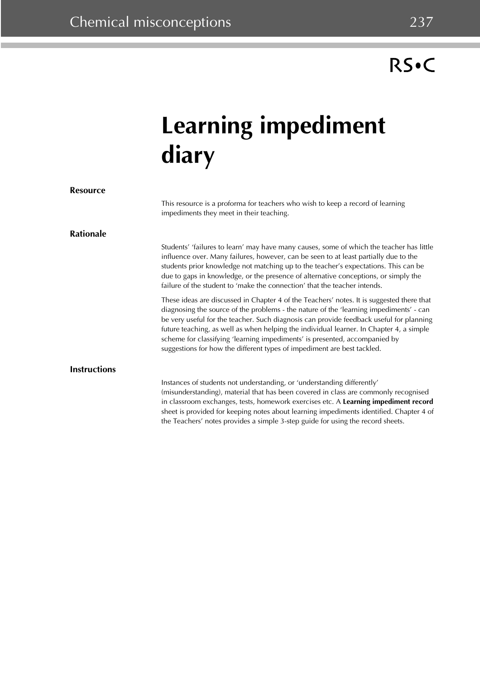## RS.C

## **Learning impediment diary**

| <b>Resource</b>     |                                                                                                                                                                                                                                                                                                                                                                                                                                                                                                                                    |
|---------------------|------------------------------------------------------------------------------------------------------------------------------------------------------------------------------------------------------------------------------------------------------------------------------------------------------------------------------------------------------------------------------------------------------------------------------------------------------------------------------------------------------------------------------------|
|                     | This resource is a proforma for teachers who wish to keep a record of learning<br>impediments they meet in their teaching.                                                                                                                                                                                                                                                                                                                                                                                                         |
| <b>Rationale</b>    |                                                                                                                                                                                                                                                                                                                                                                                                                                                                                                                                    |
|                     | Students' 'failures to learn' may have many causes, some of which the teacher has little<br>influence over. Many failures, however, can be seen to at least partially due to the<br>students prior knowledge not matching up to the teacher's expectations. This can be<br>due to gaps in knowledge, or the presence of alternative conceptions, or simply the<br>failure of the student to 'make the connection' that the teacher intends.                                                                                        |
|                     | These ideas are discussed in Chapter 4 of the Teachers' notes. It is suggested there that<br>diagnosing the source of the problems - the nature of the 'learning impediments' - can<br>be very useful for the teacher. Such diagnosis can provide feedback useful for planning<br>future teaching, as well as when helping the individual learner. In Chapter 4, a simple<br>scheme for classifying 'learning impediments' is presented, accompanied by<br>suggestions for how the different types of impediment are best tackled. |
| <b>Instructions</b> |                                                                                                                                                                                                                                                                                                                                                                                                                                                                                                                                    |
|                     | Instances of students not understanding, or 'understanding differently'<br>(misunderstanding), material that has been covered in class are commonly recognised<br>in classroom exchanges, tests, homework exercises etc. A Learning impediment record<br>sheet is provided for keeping notes about learning impediments identified. Chapter 4 of<br>the Teachers' notes provides a simple 3-step guide for using the record sheets.                                                                                                |